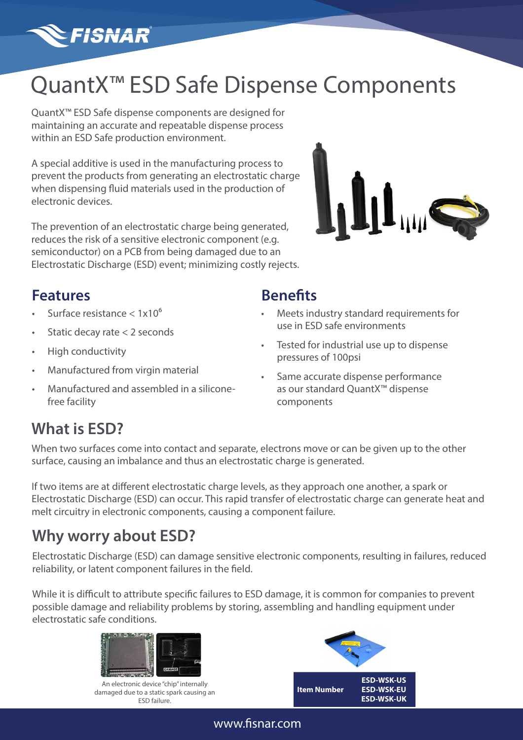# **FISNAR**

# QuantX<sup>™</sup> ESD Safe Dispense Components

QuantX™ ESD Safe dispense components are designed for maintaining an accurate and repeatable dispense process within an ESD Safe production environment.

A special additive is used in the manufacturing process to prevent the products from generating an electrostatic charge when dispensing fluid materials used in the production of electronic devices.

The prevention of an electrostatic charge being generated, reduces the risk of a sensitive electronic component (e.g. semiconductor) on a PCB from being damaged due to an Electrostatic Discharge (ESD) event; minimizing costly rejects.



#### **Features**

- Surface resistance  $< 1x10<sup>6</sup>$
- Static decay rate < 2 seconds
- High conductivity
- Manufactured from virgin material
- Manufactured and assembled in a siliconefree facility

#### **Benefits**

- Meets industry standard requirements for use in ESD safe environments
- Tested for industrial use up to dispense pressures of 100psi
- Same accurate dispense performance as our standard QuantX™ dispense components

# **What is ESD?**

When two surfaces come into contact and separate, electrons move or can be given up to the other surface, causing an imbalance and thus an electrostatic charge is generated.

If two items are at different electrostatic charge levels, as they approach one another, a spark or Electrostatic Discharge (ESD) can occur. This rapid transfer of electrostatic charge can generate heat and melt circuitry in electronic components, causing a component failure.

### **Why worry about ESD?**

Electrostatic Discharge (ESD) can damage sensitive electronic components, resulting in failures, reduced reliability, or latent component failures in the field.

While it is difficult to attribute specific failures to ESD damage, it is common for companies to prevent possible damage and reliability problems by storing, assembling and handling equipment under electrostatic safe conditions.



An electronic device "chip" internally damaged due to a static spark causing an ESD failure.



#### www.fisnar.com